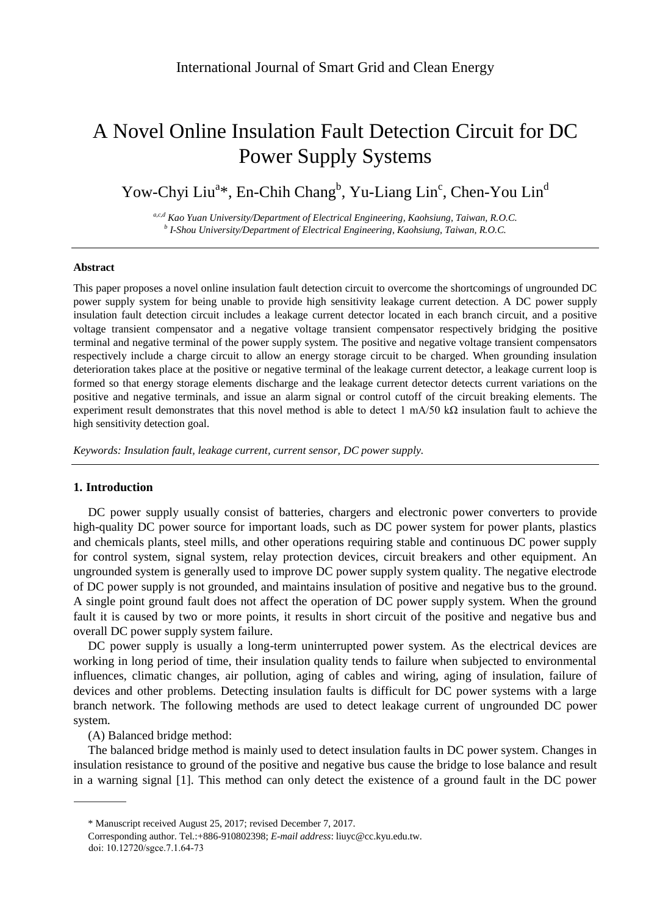# A Novel Online Insulation Fault Detection Circuit for DC Power Supply Systems

Yow-Chyi Liu<sup>a</sup>\*, En-Chih Chang<sup>b</sup>, Yu-Liang Lin<sup>c</sup>, Chen-You Lin<sup>d</sup>

*a,c,d Kao Yuan University/Department of Electrical Engineering, Kaohsiung, Taiwan, R.O.C. b I-Shou University/Department of Electrical Engineering, Kaohsiung, Taiwan, R.O.C.*

## **Abstract**

This paper proposes a novel online insulation fault detection circuit to overcome the shortcomings of ungrounded DC power supply system for being unable to provide high sensitivity leakage current detection. A DC power supply insulation fault detection circuit includes a leakage current detector located in each branch circuit, and a positive voltage transient compensator and a negative voltage transient compensator respectively bridging the positive terminal and negative terminal of the power supply system. The positive and negative voltage transient compensators respectively include a charge circuit to allow an energy storage circuit to be charged. When grounding insulation deterioration takes place at the positive or negative terminal of the leakage current detector, a leakage current loop is formed so that energy storage elements discharge and the leakage current detector detects current variations on the positive and negative terminals, and issue an alarm signal or control cutoff of the circuit breaking elements. The experiment result demonstrates that this novel method is able to detect 1 mA/50 kΩ insulation fault to achieve the high sensitivity detection goal.

*Keywords: Insulation fault, leakage current, current sensor, DC power supply.*

## **1. Introduction**

DC power supply usually consist of batteries, chargers and electronic power converters to provide high-quality DC power source for important loads, such as DC power system for power plants, plastics and chemicals plants, steel mills, and other operations requiring stable and continuous DC power supply for control system, signal system, relay protection devices, circuit breakers and other equipment. An ungrounded system is generally used to improve DC power supply system quality. The negative electrode of DC power supply is not grounded, and maintains insulation of positive and negative bus to the ground. A single point ground fault does not affect the operation of DC power supply system. When the ground fault it is caused by two or more points, it results in short circuit of the positive and negative bus and overall DC power supply system failure.

DC power supply is usually a long-term uninterrupted power system. As the electrical devices are working in long period of time, their insulation quality tends to failure when subjected to environmental influences, climatic changes, air pollution, aging of cables and wiring, aging of insulation, failure of devices and other problems. Detecting insulation faults is difficult for DC power systems with a large branch network. The following methods are used to detect leakage current of ungrounded DC power system.

(A) Balanced bridge method:

The balanced bridge method is mainly used to detect insulation faults in DC power system. Changes in insulation resistance to ground of the positive and negative bus cause the bridge to lose balance and result in a warning signal [1]. This method can only detect the existence of a ground fault in the DC power

<sup>\*</sup> Manuscript received August 25, 2017; revised December 7, 2017.

Corresponding author. Tel.:+886-910802398; *E-mail address*: liuyc@cc.kyu.edu.tw.

doi: 10.12720/sgce.7.1.64-73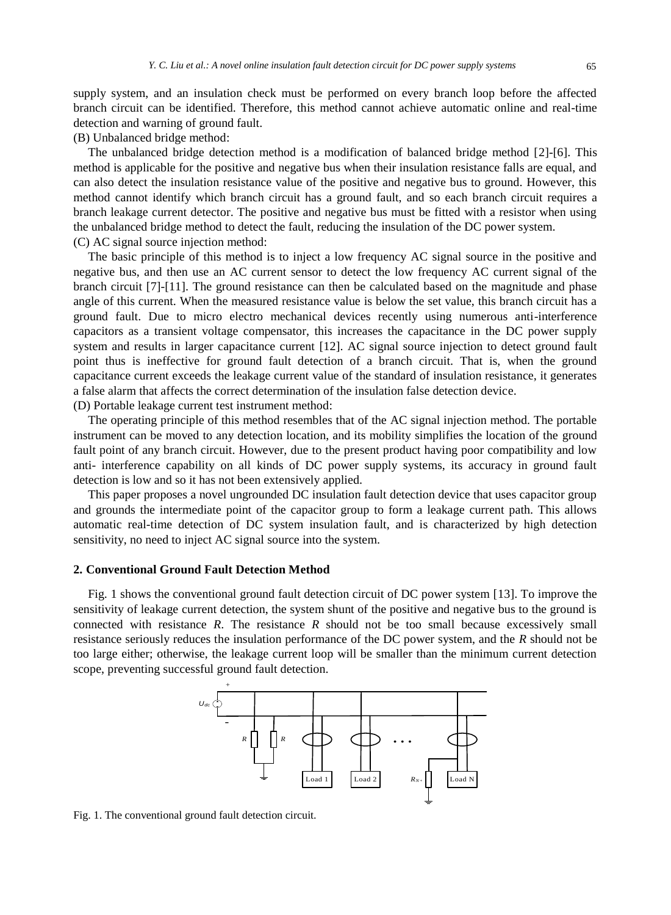supply system, and an insulation check must be performed on every branch loop before the affected branch circuit can be identified. Therefore, this method cannot achieve automatic online and real-time detection and warning of ground fault.

(B) Unbalanced bridge method:

The unbalanced bridge detection method is a modification of balanced bridge method [2]-[6]. This method is applicable for the positive and negative bus when their insulation resistance falls are equal, and can also detect the insulation resistance value of the positive and negative bus to ground. However, this method cannot identify which branch circuit has a ground fault, and so each branch circuit requires a branch leakage current detector. The positive and negative bus must be fitted with a resistor when using the unbalanced bridge method to detect the fault, reducing the insulation of the DC power system. (C) AC signal source injection method:

The basic principle of this method is to inject a low frequency AC signal source in the positive and negative bus, and then use an AC current sensor to detect the low frequency AC current signal of the branch circuit [7]-[11]. The ground resistance can then be calculated based on the magnitude and phase angle of this current. When the measured resistance value is below the set value, this branch circuit has a ground fault. Due to micro electro mechanical devices recently using numerous anti-interference capacitors as a transient voltage compensator, this increases the capacitance in the DC power supply system and results in larger capacitance current [12]. AC signal source injection to detect ground fault point thus is ineffective for ground fault detection of a branch circuit. That is, when the ground capacitance current exceeds the leakage current value of the standard of insulation resistance, it generates a false alarm that affects the correct determination of the insulation false detection device.

(D) Portable leakage current test instrument method:

The operating principle of this method resembles that of the AC signal injection method. The portable instrument can be moved to any detection location, and its mobility simplifies the location of the ground fault point of any branch circuit. However, due to the present product having poor compatibility and low anti- interference capability on all kinds of DC power supply systems, its accuracy in ground fault detection is low and so it has not been extensively applied.

This paper proposes a novel ungrounded DC insulation fault detection device that uses capacitor group and grounds the intermediate point of the capacitor group to form a leakage current path. This allows automatic real-time detection of DC system insulation fault, and is characterized by high detection sensitivity, no need to inject AC signal source into the system.

## **2. Conventional Ground Fault Detection Method**

Fig. 1 shows the conventional ground fault detection circuit of DC power system [13]. To improve the sensitivity of leakage current detection, the system shunt of the positive and negative bus to the ground is connected with resistance *R*. The resistance *R* should not be too small because excessively small resistance seriously reduces the insulation performance of the DC power system, and the *R* should not be too large either; otherwise, the leakage current loop will be smaller than the minimum current detection scope, preventing successful ground fault detection.



Fig. 1. The conventional ground fault detection circuit.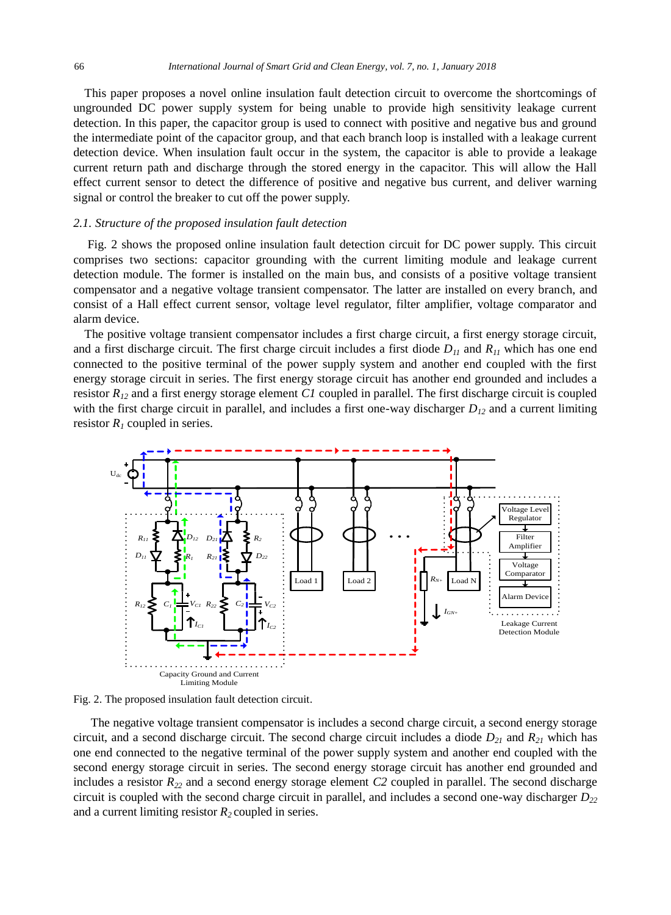This paper proposes a novel online insulation fault detection circuit to overcome the shortcomings of ungrounded DC power supply system for being unable to provide high sensitivity leakage current detection. In this paper, the capacitor group is used to connect with positive and negative bus and ground the intermediate point of the capacitor group, and that each branch loop is installed with a leakage current detection device. When insulation fault occur in the system, the capacitor is able to provide a leakage current return path and discharge through the stored energy in the capacitor. This will allow the Hall effect current sensor to detect the difference of positive and negative bus current, and deliver warning signal or control the breaker to cut off the power supply.

#### *2.1. Structure of the proposed insulation fault detection*

Fig. 2 shows the proposed online insulation fault detection circuit for DC power supply. This circuit comprises two sections: capacitor grounding with the current limiting module and leakage current detection module. The former is installed on the main bus, and consists of a positive voltage transient compensator and a negative voltage transient compensator. The latter are installed on every branch, and consist of a Hall effect current sensor, voltage level regulator, filter amplifier, voltage comparator and alarm device.

The positive voltage transient compensator includes a first charge circuit, a first energy storage circuit, and a first discharge circuit. The first charge circuit includes a first diode  $D_{II}$  and  $R_{II}$  which has one end connected to the positive terminal of the power supply system and another end coupled with the first energy storage circuit in series. The first energy storage circuit has another end grounded and includes a resistor  $R_{12}$  and a first energy storage element *C1* coupled in parallel. The first discharge circuit is coupled with the first charge circuit in parallel, and includes a first one-way discharger  $D_{12}$  and a current limiting resistor  $R<sub>1</sub>$  coupled in series.





The negative voltage transient compensator is includes a second charge circuit, a second energy storage circuit, and a second discharge circuit. The second charge circuit includes a diode  $D_{21}$  and  $R_{21}$  which has one end connected to the negative terminal of the power supply system and another end coupled with the second energy storage circuit in series. The second energy storage circuit has another end grounded and includes a resistor  $R_{22}$  and a second energy storage element  $C2$  coupled in parallel. The second discharge circuit is coupled with the second charge circuit in parallel, and includes a second one-way discharger *D<sup>22</sup>* and a current limiting resistor  $R_2$  coupled in series.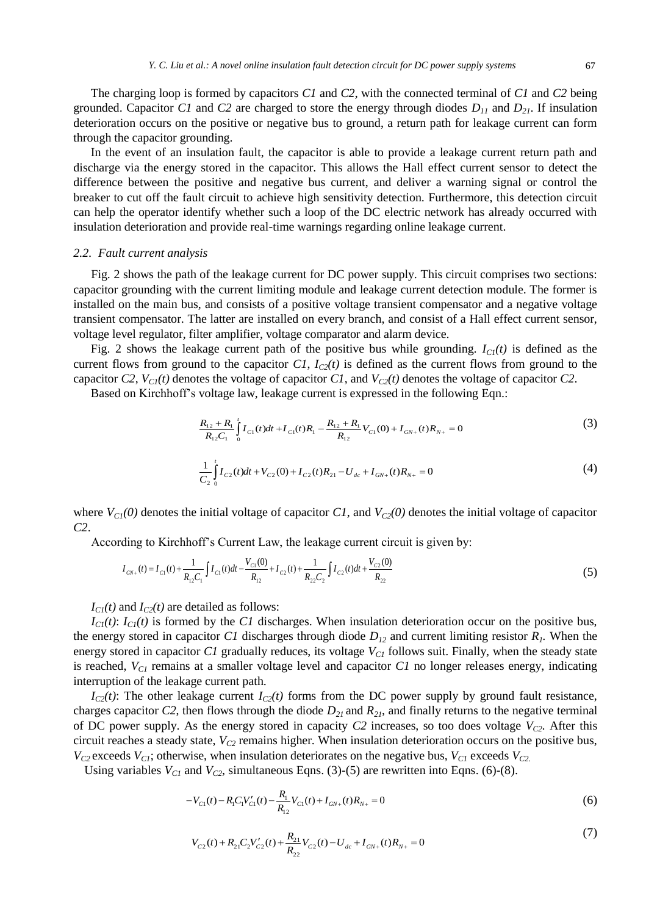The charging loop is formed by capacitors *C1* and *C2*, with the connected terminal of *C1* and *C2* being grounded. Capacitor *C1* and *C2* are charged to store the energy through diodes  $D_{11}$  and  $D_{21}$ . If insulation deterioration occurs on the positive or negative bus to ground, a return path for leakage current can form through the capacitor grounding.

In the event of an insulation fault, the capacitor is able to provide a leakage current return path and discharge via the energy stored in the capacitor. This allows the Hall effect current sensor to detect the difference between the positive and negative bus current, and deliver a warning signal or control the breaker to cut off the fault circuit to achieve high sensitivity detection. Furthermore, this detection circuit can help the operator identify whether such a loop of the DC electric network has already occurred with insulation deterioration and provide real-time warnings regarding online leakage current.

#### *2.2. Fault current analysis*

Fig. 2 shows the path of the leakage current for DC power supply. This circuit comprises two sections: capacitor grounding with the current limiting module and leakage current detection module. The former is installed on the main bus, and consists of a positive voltage transient compensator and a negative voltage transient compensator. The latter are installed on every branch, and consist of a Hall effect current sensor, voltage level regulator, filter amplifier, voltage comparator and alarm device.

Fig. 2 shows the leakage current path of the positive bus while grounding.  $I_C(t)$  is defined as the current flows from ground to the capacitor  $CI$ ,  $I_{C2}(t)$  is defined as the current flows from ground to the capacitor *C2*,  $V_{C1}(t)$  denotes the voltage of capacitor *C1*, and  $V_{C2}(t)$  denotes the voltage of capacitor *C2*.

Based on Kirchhoff's voltage law, leakage current is expressed in the following Eqn.:

$$
\frac{R_{12} + R_1}{R_{12}C_1} \int_0^t I_{C1}(t)dt + I_{C1}(t)R_1 - \frac{R_{12} + R_1}{R_{12}} V_{C1}(0) + I_{GN+}(t)R_{N+} = 0
$$
\n(3)

$$
\frac{1}{C_2} \int_0^t I_{C_2}(t)dt + V_{C_2}(0) + I_{C_2}(t)R_{21} - U_{dc} + I_{GN+}(t)R_{N+} = 0
$$
\n<sup>(4)</sup>

where  $V_{C1}(0)$  denotes the initial voltage of capacitor *C1*, and  $V_{C2}(0)$  denotes the initial voltage of capacitor *C2*.

According to Kirchhoff's Current Law, the leakage current circuit is given by:

$$
I_{GN+}(t) = I_{C1}(t) + \frac{1}{R_{12}C_1} \int I_{C1}(t)dt - \frac{V_{C1}(0)}{R_{12}} + I_{C2}(t) + \frac{1}{R_{22}C_2} \int I_{C2}(t)dt + \frac{V_{C2}(0)}{R_{22}}
$$
(5)

 $I_{C1}(t)$  and  $I_{C2}(t)$  are detailed as follows:

 $I_{C1}(t)$ :  $I_{C1}(t)$  is formed by the *C1* discharges. When insulation deterioration occur on the positive bus, the energy stored in capacitor *C1* discharges through diode  $D_{12}$  and current limiting resistor  $R_I$ *.* When the energy stored in capacitor *C1* gradually reduces, its voltage *VC1* follows suit. Finally, when the steady state is reached, *VC1* remains at a smaller voltage level and capacitor *C1* no longer releases energy, indicating interruption of the leakage current path.

 $I_{C2}(t)$ : The other leakage current  $I_{C2}(t)$  forms from the DC power supply by ground fault resistance, charges capacitor *C2*, then flows through the diode *D<sup>21</sup>* and *R21*, and finally returns to the negative terminal of DC power supply. As the energy stored in capacity *C2* increases, so too does voltage *VC2*. After this circuit reaches a steady state, *VC2* remains higher. When insulation deterioration occurs on the positive bus, *VC2* exceeds *VC1*; otherwise, when insulation deteriorates on the negative bus, *VC1* exceeds *VC2*.

Using variables  $V_{C1}$  and  $V_{C2}$ , simultaneous Eqns. (3)-(5) are rewritten into Eqns. (6)-(8).

$$
-V_{C1}(t) - R_1 C_1 V'_{C1}(t) - \frac{R_1}{R_{12}} V_{C1}(t) + I_{GN+}(t) R_{N+} = 0
$$
\n<sup>(6)</sup>

$$
V_{C2}(t) + R_{21}C_2V'_{C2}(t) + \frac{R_{21}}{R_{22}}V_{C2}(t) - U_{dc} + I_{GN+}(t)R_{N+} = 0
$$
\n(7)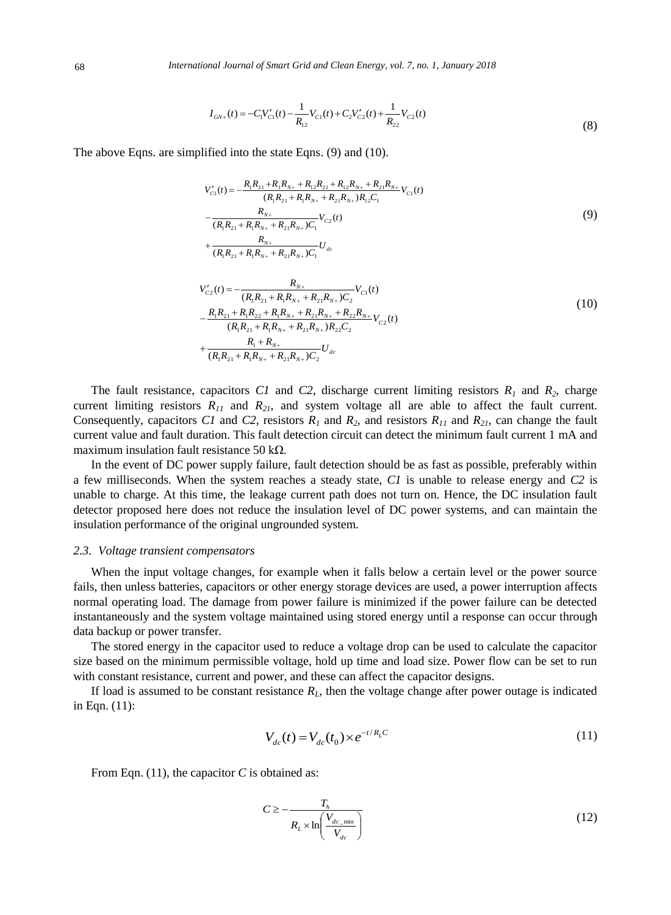$$
I_{GN+}(t) = -C_1 V'_{C1}(t) - \frac{1}{R_1} V_{C1}(t) + C_2 V'_{C2}(t) + \frac{1}{R_2} V_{C2}(t)
$$
\n(8)

The above Eqns. are simplified into the state Eqns. (9) and (10).

$$
V'_{C1}(t) = -\frac{R_1 R_{21} + R_1 R_{N+} + R_{12} R_{21} + R_{12} R_{N+} + R_{21} R_{N+}}{(R_1 R_{21} + R_1 R_{N+} + R_{21} R_{N+}) R_{12} C_1} V_{C1}(t)
$$
  

$$
-\frac{R_{N+}}{(R_1 R_{21} + R_1 R_{N+} + R_{21} R_{N+}) C_1} V_{C2}(t)
$$
  

$$
+\frac{R_{N+}}{(R_1 R_{21} + R_1 R_{N+} + R_{21} R_{N+}) C_1} U_{dc}
$$
  

$$
V'_{C2}(t) = -\frac{R_{N+}}{(R_1 R_{21} + R_1 R_{N+} + R_{21} R_{N+}) C_2} V_{C1}(t)
$$
  

$$
-\frac{R_1 R_{21} + R_1 R_{22} + R_1 R_{N+} + R_{21} R_{N+} + R_{22} R_{N+}}{(R_1 R_{21} + R_1 R_{N+} + R_{21} R_{N+}) R_{22} C_2} V_{C2}(t)
$$
  

$$
+\frac{R_1 + R_{N+}}{(R_1 R_{21} + R_1 R_{N+} + R_{21} R_{N+}) C_2} U_{dc}
$$
  
(10)

The fault resistance, capacitors *C1* and *C2*, discharge current limiting resistors  $R<sub>1</sub>$  and  $R<sub>2</sub>$ , charge current limiting resistors  $R_{11}$  and  $R_{21}$ , and system voltage all are able to affect the fault current. Consequently, capacitors *C1* and *C2*, resistors  $R_1$  and  $R_2$ , and resistors  $R_{11}$  and  $R_{21}$ , can change the fault current value and fault duration. This fault detection circuit can detect the minimum fault current 1 mA and maximum insulation fault resistance 50 kΩ.

 $1^{11}21 + 1^{11}N_{N+} + 1^{12}1^{11}N_{+}$ 

In the event of DC power supply failure, fault detection should be as fast as possible, preferably within a few milliseconds. When the system reaches a steady state, *C1* is unable to release energy and *C2* is unable to charge. At this time, the leakage current path does not turn on. Hence, the DC insulation fault detector proposed here does not reduce the insulation level of DC power systems, and can maintain the insulation performance of the original ungrounded system.

#### *2.3. Voltage transient compensators*

When the input voltage changes, for example when it falls below a certain level or the power source fails, then unless batteries, capacitors or other energy storage devices are used, a power interruption affects normal operating load. The damage from power failure is minimized if the power failure can be detected instantaneously and the system voltage maintained using stored energy until a response can occur through data backup or power transfer.

The stored energy in the capacitor used to reduce a voltage drop can be used to calculate the capacitor size based on the minimum permissible voltage, hold up time and load size. Power flow can be set to run with constant resistance, current and power, and these can affect the capacitor designs.

If load is assumed to be constant resistance *RL*, then the voltage change after power outage is indicated in Eqn. (11):

$$
V_{dc}(t) = V_{dc}(t_0) \times e^{-t/R_L C}
$$
\n(11)

From Eqn. (11), the capacitor *C* is obtained as:

$$
C \ge -\frac{T_h}{R_L \times \ln\left(\frac{V_{dc\_min}}{V_{dc}}\right)}
$$
\n(12)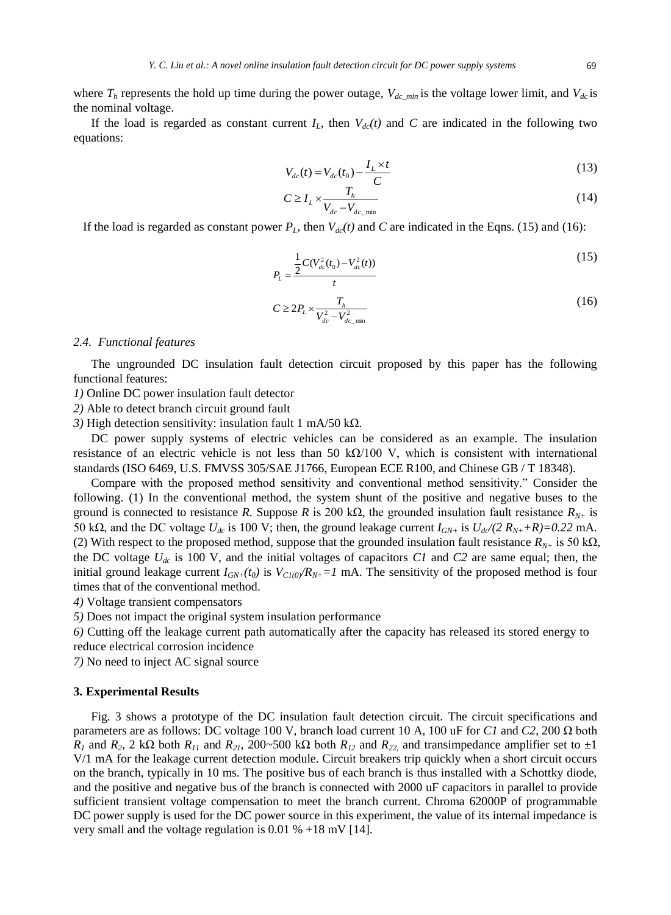where  $T_h$  represents the hold up time during the power outage,  $V_{dc\_min}$  is the voltage lower limit, and  $V_{dc}$  is the nominal voltage.

If the load is regarded as constant current  $I_L$ , then  $V_{dc}(t)$  and *C* are indicated in the following two equations:

$$
V_{dc}(t) = V_{dc}(t_0) - \frac{I_L \times t}{C}
$$
\n(13)

$$
C \ge I_L \times \frac{T_h}{V_{dc} - V_{dc\_min}}\tag{14}
$$

If the load is regarded as constant power  $P_L$ , then  $V_{dc}(t)$  and *C* are indicated in the Eqns. (15) and (16):

$$
P_{L} = \frac{\frac{1}{2}CV_{dc}^{2}(t_{0}) - V_{dc}^{2}(t)}{t}
$$
\n(15)

$$
C \ge 2P_L \times \frac{T_h}{V_{dc}^2 - V_{dc\_min}^2}
$$
\n(16)

## *2.4. Functional features*

The ungrounded DC insulation fault detection circuit proposed by this paper has the following functional features:

*1)* Online DC power insulation fault detector

*2)* Able to detect branch circuit ground fault

*3)* High detection sensitivity: insulation fault 1 mA/50 kΩ.

DC power supply systems of electric vehicles can be considered as an example. The insulation resistance of an electric vehicle is not less than 50 k $\Omega/100$  V, which is consistent with international standards (ISO 6469, U.S. FMVSS 305/SAE J1766, European ECE R100, and Chinese GB / T 18348).

Compare with the proposed method sensitivity and conventional method sensitivity." Consider the following. (1) In the conventional method, the system shunt of the positive and negative buses to the ground is connected to resistance *R*. Suppose *R* is 200 kΩ, the grounded insulation fault resistance  $R_{N+}$  is 50 kΩ, and the DC voltage  $U_{dc}$  is 100 V; then, the ground leakage current  $I_{GN+}$  is  $U_{dc}/(2 R_{N+} + R) = 0.22$  mA. (2) With respect to the proposed method, suppose that the grounded insulation fault resistance  $R_{N+}$  is 50 k $\Omega$ , the DC voltage *Udc* is 100 V, and the initial voltages of capacitors *C1* and *C2* are same equal; then, the initial ground leakage current  $I_{GN+}(t_0)$  is  $V_{Cl(0)}/R_{N+}=I$  mA. The sensitivity of the proposed method is four times that of the conventional method.

*4)* Voltage transient compensators

*5)* Does not impact the original system insulation performance

*6)* Cutting off the leakage current path automatically after the capacity has released its stored energy to reduce electrical corrosion incidence

*7)* No need to inject AC signal source

#### **3. Experimental Results**

Fig. 3 shows a prototype of the DC insulation fault detection circuit. The circuit specifications and parameters are as follows: DC voltage 100 V, branch load current 10 A, 100 uF for *C1* and *C2*, 200 Ω both *R<sub>1</sub>* and *R*<sub>2</sub>, 2 kΩ both *R<sub>11</sub>* and *R*<sub>21</sub>, 200~500 kΩ both *R*<sub>12</sub> and *R*<sub>22</sub>, and transimpedance amplifier set to ±1 V/1 mA for the leakage current detection module. Circuit breakers trip quickly when a short circuit occurs on the branch, typically in 10 ms. The positive bus of each branch is thus installed with a Schottky diode, and the positive and negative bus of the branch is connected with 2000 uF capacitors in parallel to provide sufficient transient voltage compensation to meet the branch current. Chroma 62000P of programmable DC power supply is used for the DC power source in this experiment, the value of its internal impedance is very small and the voltage regulation is 0.01 % +18 mV [14].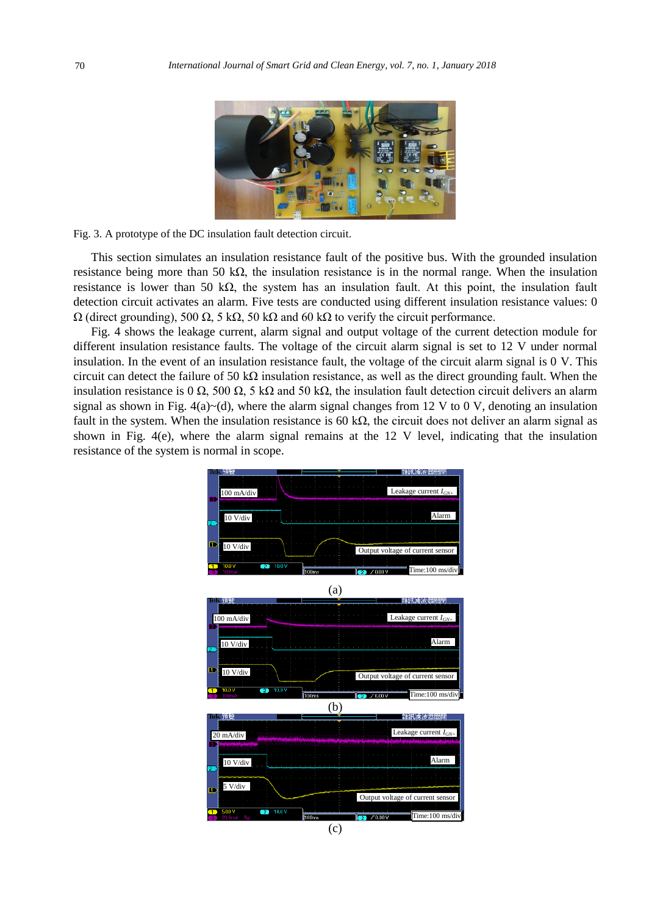

Fig. 3. A prototype of the DC insulation fault detection circuit.

This section simulates an insulation resistance fault of the positive bus. With the grounded insulation resistance being more than 50 kΩ, the insulation resistance is in the normal range. When the insulation resistance is lower than 50 k $\Omega$ , the system has an insulation fault. At this point, the insulation fault detection circuit activates an alarm. Five tests are conducted using different insulation resistance values: 0  $Ω$  (direct grounding), 500  $Ω$ , 5 k $Ω$ , 50 k $Ω$  and 60 k $Ω$  to verify the circuit performance.

Fig. 4 shows the leakage current, alarm signal and output voltage of the current detection module for different insulation resistance faults. The voltage of the circuit alarm signal is set to 12 V under normal insulation. In the event of an insulation resistance fault, the voltage of the circuit alarm signal is 0 V. This circuit can detect the failure of 50 k $\Omega$  insulation resistance, as well as the direct grounding fault. When the insulation resistance is 0 Ω, 500 Ω, 5 kΩ and 50 kΩ, the insulation fault detection circuit delivers an alarm signal as shown in Fig.  $4(a)$   $\sim$  (d), where the alarm signal changes from 12 V to 0 V, denoting an insulation fault in the system. When the insulation resistance is 60 k $\Omega$ , the circuit does not deliver an alarm signal as shown in Fig. 4(e), where the alarm signal remains at the 12 V level, indicating that the insulation resistance of the system is normal in scope.

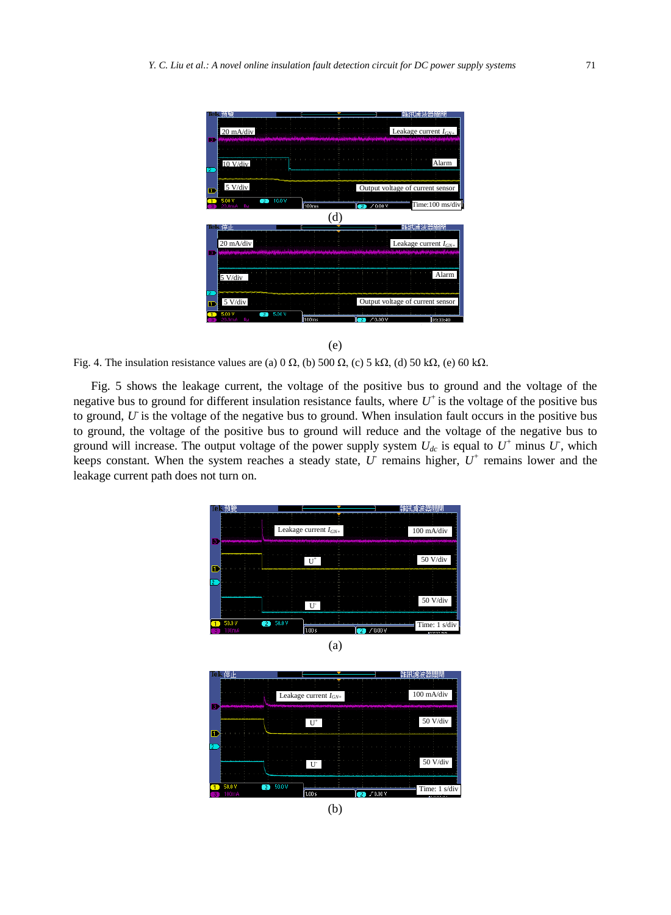



Fig. 4. The insulation resistance values are (a) 0  $\Omega$ , (b) 500  $\Omega$ , (c) 5 k $\Omega$ , (d) 50 k $\Omega$ , (e) 60 k $\Omega$ .

Fig. 5 shows the leakage current, the voltage of the positive bus to ground and the voltage of the negative bus to ground for different insulation resistance faults, where  $U^+$  is the voltage of the positive bus to ground,  $U$  is the voltage of the negative bus to ground. When insulation fault occurs in the positive bus to ground, the voltage of the positive bus to ground will reduce and the voltage of the negative bus to ground will increase. The output voltage of the power supply system  $U_{dc}$  is equal to  $U^+$  minus  $U$ , which keeps constant. When the system reaches a steady state,  $U$  remains higher,  $U^+$  remains lower and the leakage current path does not turn on.

|   | Tek 預覽          |        |                           |        | 帝開閉 |                                    |  |
|---|-----------------|--------|---------------------------|--------|-----|------------------------------------|--|
|   |                 |        | Leakage current $I_{GN+}$ |        |     | 100 mA/div                         |  |
| в |                 |        | $II^+$                    |        |     | 50 V/div                           |  |
| m |                 |        |                           |        |     |                                    |  |
|   |                 |        | U                         |        |     | 50 V/div                           |  |
|   | 50.0 V<br>100mA | 50.0 V | 1.00 s                    | 70.00V |     | Time: 1 s/div<br><b>STATISTICS</b> |  |





(b)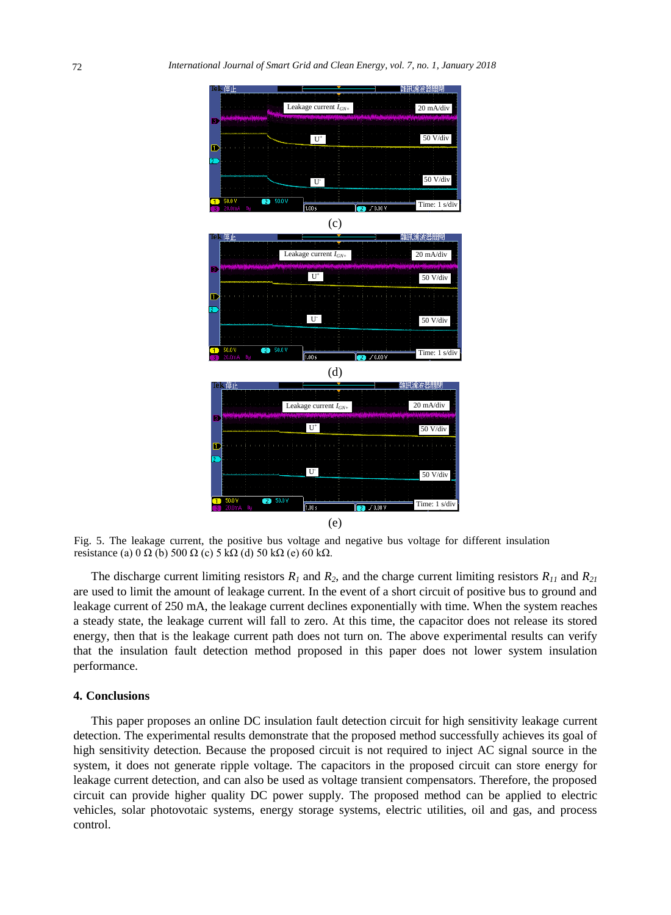

Fig. 5. The leakage current, the positive bus voltage and negative bus voltage for different insulation resistance (a)  $0 \Omega$  (b) 500  $\Omega$  (c) 5 k $\Omega$  (d) 50 k $\Omega$  (e) 60 k $\Omega$ .

The discharge current limiting resistors  $R_1$  and  $R_2$ , and the charge current limiting resistors  $R_1$ <sub>1</sub> and  $R_2$ <sub>1</sub> are used to limit the amount of leakage current. In the event of a short circuit of positive bus to ground and leakage current of 250 mA, the leakage current declines exponentially with time. When the system reaches a steady state, the leakage current will fall to zero. At this time, the capacitor does not release its stored energy, then that is the leakage current path does not turn on. The above experimental results can verify that the insulation fault detection method proposed in this paper does not lower system insulation performance.

## **4. Conclusions**

This paper proposes an online DC insulation fault detection circuit for high sensitivity leakage current detection. The experimental results demonstrate that the proposed method successfully achieves its goal of high sensitivity detection. Because the proposed circuit is not required to inject AC signal source in the system, it does not generate ripple voltage. The capacitors in the proposed circuit can store energy for leakage current detection, and can also be used as voltage transient compensators. Therefore, the proposed circuit can provide higher quality DC power supply. The proposed method can be applied to electric vehicles, solar photovotaic systems, energy storage systems, electric utilities, oil and gas, and process control.